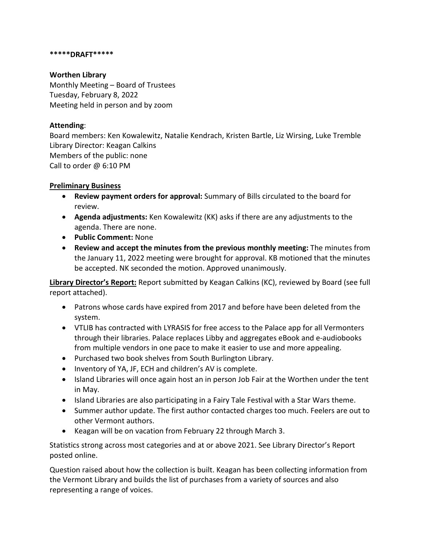#### **\*\*\*\*\*DRAFT\*\*\*\*\***

#### **Worthen Library**

Monthly Meeting – Board of Trustees Tuesday, February 8, 2022 Meeting held in person and by zoom

## **Attending**:

Board members: Ken Kowalewitz, Natalie Kendrach, Kristen Bartle, Liz Wirsing, Luke Tremble Library Director: Keagan Calkins Members of the public: none Call to order @ 6:10 PM

### **Preliminary Business**

- **Review payment orders for approval:** Summary of Bills circulated to the board for review.
- **Agenda adjustments:** Ken Kowalewitz (KK) asks if there are any adjustments to the agenda. There are none.
- **Public Comment:** None
- **Review and accept the minutes from the previous monthly meeting:** The minutes from the January 11, 2022 meeting were brought for approval. KB motioned that the minutes be accepted. NK seconded the motion. Approved unanimously.

**Library Director's Report:** Report submitted by Keagan Calkins (KC), reviewed by Board (see full report attached).

- Patrons whose cards have expired from 2017 and before have been deleted from the system.
- VTLIB has contracted with LYRASIS for free access to the Palace app for all Vermonters through their libraries. Palace replaces Libby and aggregates eBook and e-audiobooks from multiple vendors in one pace to make it easier to use and more appealing.
- Purchased two book shelves from South Burlington Library.
- Inventory of YA, JF, ECH and children's AV is complete.
- Island Libraries will once again host an in person Job Fair at the Worthen under the tent in May.
- Island Libraries are also participating in a Fairy Tale Festival with a Star Wars theme.
- Summer author update. The first author contacted charges too much. Feelers are out to other Vermont authors.
- Keagan will be on vacation from February 22 through March 3.

Statistics strong across most categories and at or above 2021. See Library Director's Report posted online.

Question raised about how the collection is built. Keagan has been collecting information from the Vermont Library and builds the list of purchases from a variety of sources and also representing a range of voices.